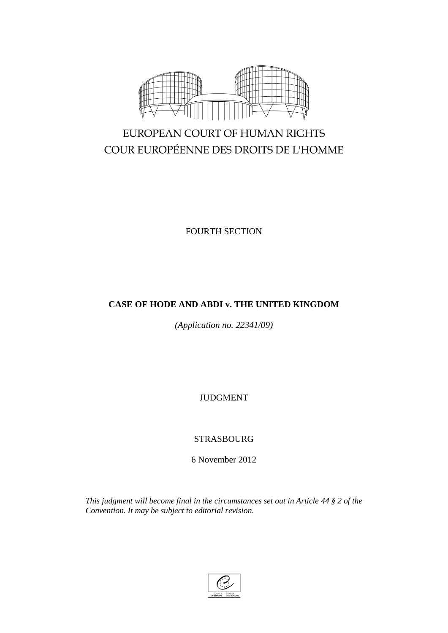

# EUROPEAN COURT OF HUMAN RIGHTS COUR EUROPÉENNE DES DROITS DE L'HOMME

FOURTH SECTION

## **CASE OF HODE AND ABDI v. THE UNITED KINGDOM**

*(Application no. 22341/09)*

JUDGMENT

STRASBOURG

6 November 2012

*This judgment will become final in the circumstances set out in Article 44 § 2 of the Convention. It may be subject to editorial revision.*

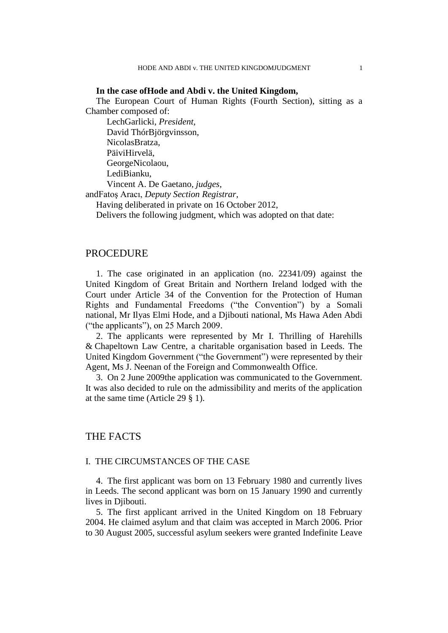#### **In the case ofHode and Abdi v. the United Kingdom,**

The European Court of Human Rights (Fourth Section), sitting as a Chamber composed of:

LechGarlicki, *President,* David ThórBjörgvinsson, NicolasBratza, PäiviHirvelä, GeorgeNicolaou, LediBianku, Vincent A. De Gaetano, *judges,* andFatoş Aracı, *Deputy Section Registrar,*

Having deliberated in private on 16 October 2012,

Delivers the following judgment, which was adopted on that date:

## PROCEDURE

1. The case originated in an application (no. 22341/09) against the United Kingdom of Great Britain and Northern Ireland lodged with the Court under Article 34 of the Convention for the Protection of Human Rights and Fundamental Freedoms ("the Convention") by a Somali national, Mr Ilyas Elmi Hode, and a Djibouti national, Ms Hawa Aden Abdi ("the applicants"), on 25 March 2009.

2. The applicants were represented by Mr I. Thrilling of Harehills & Chapeltown Law Centre, a charitable organisation based in Leeds. The United Kingdom Government ("the Government") were represented by their Agent, Ms J. Neenan of the Foreign and Commonwealth Office.

3. On 2 June 2009the application was communicated to the Government. It was also decided to rule on the admissibility and merits of the application at the same time (Article 29 § 1).

## THE FACTS

## I. THE CIRCUMSTANCES OF THE CASE

4. The first applicant was born on 13 February 1980 and currently lives in Leeds. The second applicant was born on 15 January 1990 and currently lives in Djibouti.

5. The first applicant arrived in the United Kingdom on 18 February 2004. He claimed asylum and that claim was accepted in March 2006. Prior to 30 August 2005, successful asylum seekers were granted Indefinite Leave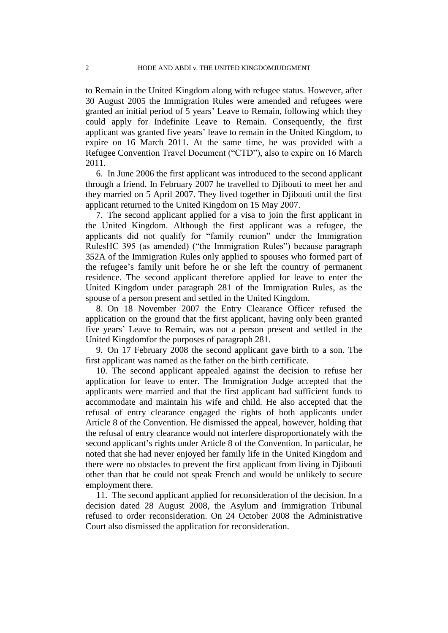to Remain in the United Kingdom along with refugee status. However, after 30 August 2005 the Immigration Rules were amended and refugees were granted an initial period of 5 years' Leave to Remain, following which they could apply for Indefinite Leave to Remain. Consequently, the first applicant was granted five years' leave to remain in the United Kingdom, to expire on 16 March 2011. At the same time, he was provided with a Refugee Convention Travel Document ("CTD"), also to expire on 16 March 2011.

6. In June 2006 the first applicant was introduced to the second applicant through a friend. In February 2007 he travelled to Djibouti to meet her and they married on 5 April 2007. They lived together in Djibouti until the first applicant returned to the United Kingdom on 15 May 2007.

7. The second applicant applied for a visa to join the first applicant in the United Kingdom. Although the first applicant was a refugee, the applicants did not qualify for "family reunion" under the Immigration RulesHC 395 (as amended) ("the Immigration Rules") because paragraph 352A of the Immigration Rules only applied to spouses who formed part of the refugee's family unit before he or she left the country of permanent residence. The second applicant therefore applied for leave to enter the United Kingdom under paragraph 281 of the Immigration Rules, as the spouse of a person present and settled in the United Kingdom.

8. On 18 November 2007 the Entry Clearance Officer refused the application on the ground that the first applicant, having only been granted five years' Leave to Remain, was not a person present and settled in the United Kingdomfor the purposes of paragraph 281.

9. On 17 February 2008 the second applicant gave birth to a son. The first applicant was named as the father on the birth certificate.

10. The second applicant appealed against the decision to refuse her application for leave to enter. The Immigration Judge accepted that the applicants were married and that the first applicant had sufficient funds to accommodate and maintain his wife and child. He also accepted that the refusal of entry clearance engaged the rights of both applicants under Article 8 of the Convention. He dismissed the appeal, however, holding that the refusal of entry clearance would not interfere disproportionately with the second applicant's rights under Article 8 of the Convention. In particular, he noted that she had never enjoyed her family life in the United Kingdom and there were no obstacles to prevent the first applicant from living in Djibouti other than that he could not speak French and would be unlikely to secure employment there.

11. The second applicant applied for reconsideration of the decision. In a decision dated 28 August 2008, the Asylum and Immigration Tribunal refused to order reconsideration. On 24 October 2008 the Administrative Court also dismissed the application for reconsideration.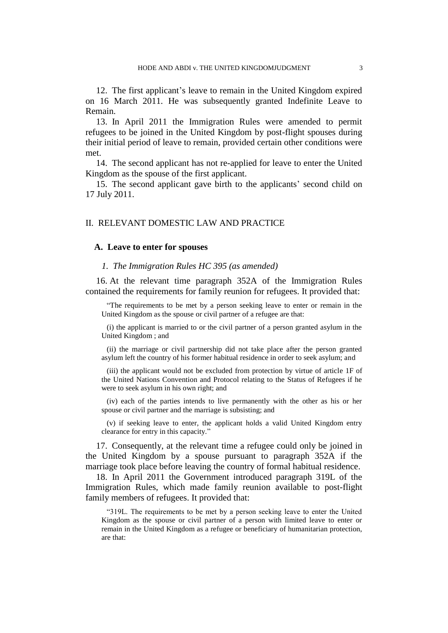12. The first applicant's leave to remain in the United Kingdom expired on 16 March 2011. He was subsequently granted Indefinite Leave to Remain.

13. In April 2011 the Immigration Rules were amended to permit refugees to be joined in the United Kingdom by post-flight spouses during their initial period of leave to remain, provided certain other conditions were met.

14. The second applicant has not re-applied for leave to enter the United Kingdom as the spouse of the first applicant.

15. The second applicant gave birth to the applicants' second child on 17 July 2011.

## II. RELEVANT DOMESTIC LAW AND PRACTICE

#### **A. Leave to enter for spouses**

#### *1. The Immigration Rules HC 395 (as amended)*

16. At the relevant time paragraph 352A of the Immigration Rules contained the requirements for family reunion for refugees. It provided that:

"The requirements to be met by a person seeking leave to enter or remain in the United Kingdom as the spouse or civil partner of a refugee are that:

(i) the applicant is married to or the civil partner of a person granted asylum in the United Kingdom ; and

(ii) the marriage or civil partnership did not take place after the person granted asylum left the country of his former habitual residence in order to seek asylum; and

(iii) the applicant would not be excluded from protection by virtue of article 1F of the United Nations Convention and Protocol relating to the Status of Refugees if he were to seek asylum in his own right; and

(iv) each of the parties intends to live permanently with the other as his or her spouse or civil partner and the marriage is subsisting; and

(v) if seeking leave to enter, the applicant holds a valid United Kingdom entry clearance for entry in this capacity."

17. Consequently, at the relevant time a refugee could only be joined in the United Kingdom by a spouse pursuant to paragraph 352A if the marriage took place before leaving the country of formal habitual residence.

18. In April 2011 the Government introduced paragraph 319L of the Immigration Rules, which made family reunion available to post-flight family members of refugees. It provided that:

"319L. The requirements to be met by a person seeking leave to enter the United Kingdom as the spouse or civil partner of a person with limited leave to enter or remain in the United Kingdom as a refugee or beneficiary of humanitarian protection, are that: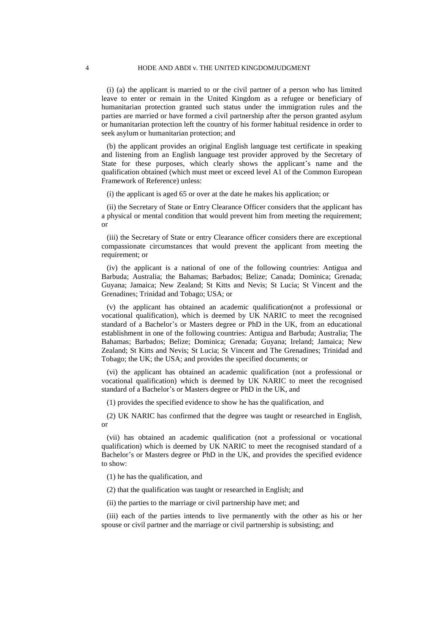(i) (a) the applicant is married to or the civil partner of a person who has limited leave to enter or remain in the United Kingdom as a refugee or beneficiary of humanitarian protection granted such status under the immigration rules and the parties are married or have formed a civil partnership after the person granted asylum or humanitarian protection left the country of his former habitual residence in order to seek asylum or humanitarian protection; and

(b) the applicant provides an original English language test certificate in speaking and listening from an English language test provider approved by the Secretary of State for these purposes, which clearly shows the applicant's name and the qualification obtained (which must meet or exceed level A1 of the Common European Framework of Reference) unless:

(i) the applicant is aged 65 or over at the date he makes his application; or

(ii) the Secretary of State or Entry Clearance Officer considers that the applicant has a physical or mental condition that would prevent him from meeting the requirement; or

(iii) the Secretary of State or entry Clearance officer considers there are exceptional compassionate circumstances that would prevent the applicant from meeting the requirement; or

(iv) the applicant is a national of one of the following countries: Antigua and Barbuda; Australia; the Bahamas; Barbados; Belize; Canada; Dominica; Grenada; Guyana; Jamaica; New Zealand; St Kitts and Nevis; St Lucia; St Vincent and the Grenadines; Trinidad and Tobago; USA; or

(v) the applicant has obtained an academic qualification(not a professional or vocational qualification), which is deemed by UK NARIC to meet the recognised standard of a Bachelor's or Masters degree or PhD in the UK, from an educational establishment in one of the following countries: Antigua and Barbuda; Australia; The Bahamas; Barbados; Belize; Dominica; Grenada; Guyana; Ireland; Jamaica; New Zealand; St Kitts and Nevis; St Lucia; St Vincent and The Grenadines; Trinidad and Tobago; the UK; the USA; and provides the specified documents; or

(vi) the applicant has obtained an academic qualification (not a professional or vocational qualification) which is deemed by UK NARIC to meet the recognised standard of a Bachelor's or Masters degree or PhD in the UK, and

(1) provides the specified evidence to show he has the qualification, and

(2) UK NARIC has confirmed that the degree was taught or researched in English, or

(vii) has obtained an academic qualification (not a professional or vocational qualification) which is deemed by UK NARIC to meet the recognised standard of a Bachelor's or Masters degree or PhD in the UK, and provides the specified evidence to show:

(1) he has the qualification, and

(2) that the qualification was taught or researched in English; and

(ii) the parties to the marriage or civil partnership have met; and

(iii) each of the parties intends to live permanently with the other as his or her spouse or civil partner and the marriage or civil partnership is subsisting; and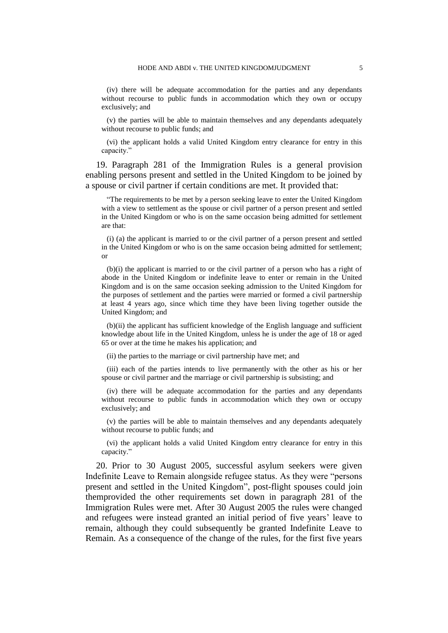(iv) there will be adequate accommodation for the parties and any dependants without recourse to public funds in accommodation which they own or occupy exclusively; and

(v) the parties will be able to maintain themselves and any dependants adequately without recourse to public funds; and

(vi) the applicant holds a valid United Kingdom entry clearance for entry in this capacity."

19. Paragraph 281 of the Immigration Rules is a general provision enabling persons present and settled in the United Kingdom to be joined by a spouse or civil partner if certain conditions are met. It provided that:

"The requirements to be met by a person seeking leave to enter the United Kingdom with a view to settlement as the spouse or civil partner of a person present and settled in the United Kingdom or who is on the same occasion being admitted for settlement are that:

(i) (a) the applicant is married to or the civil partner of a person present and settled in the United Kingdom or who is on the same occasion being admitted for settlement; or

(b)(i) the applicant is married to or the civil partner of a person who has a right of abode in the United Kingdom or indefinite leave to enter or remain in the United Kingdom and is on the same occasion seeking admission to the United Kingdom for the purposes of settlement and the parties were married or formed a civil partnership at least 4 years ago, since which time they have been living together outside the United Kingdom; and

(b)(ii) the applicant has sufficient knowledge of the English language and sufficient knowledge about life in the United Kingdom, unless he is under the age of 18 or aged 65 or over at the time he makes his application; and

(ii) the parties to the marriage or civil partnership have met; and

(iii) each of the parties intends to live permanently with the other as his or her spouse or civil partner and the marriage or civil partnership is subsisting; and

(iv) there will be adequate accommodation for the parties and any dependants without recourse to public funds in accommodation which they own or occupy exclusively; and

(v) the parties will be able to maintain themselves and any dependants adequately without recourse to public funds; and

(vi) the applicant holds a valid United Kingdom entry clearance for entry in this capacity."

20. Prior to 30 August 2005, successful asylum seekers were given Indefinite Leave to Remain alongside refugee status. As they were "persons present and settled in the United Kingdom", post-flight spouses could join themprovided the other requirements set down in paragraph 281 of the Immigration Rules were met. After 30 August 2005 the rules were changed and refugees were instead granted an initial period of five years' leave to remain, although they could subsequently be granted Indefinite Leave to Remain. As a consequence of the change of the rules, for the first five years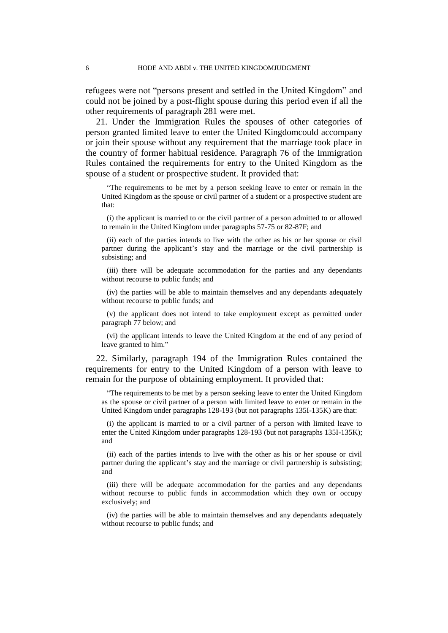refugees were not "persons present and settled in the United Kingdom" and could not be joined by a post-flight spouse during this period even if all the other requirements of paragraph 281 were met.

21. Under the Immigration Rules the spouses of other categories of person granted limited leave to enter the United Kingdomcould accompany or join their spouse without any requirement that the marriage took place in the country of former habitual residence. Paragraph 76 of the Immigration Rules contained the requirements for entry to the United Kingdom as the spouse of a student or prospective student. It provided that:

"The requirements to be met by a person seeking leave to enter or remain in the United Kingdom as the spouse or civil partner of a student or a prospective student are that:

(i) the applicant is married to or the civil partner of a person admitted to or allowed to remain in the United Kingdom under paragraphs 57-75 or 82-87F; and

(ii) each of the parties intends to live with the other as his or her spouse or civil partner during the applicant's stay and the marriage or the civil partnership is subsisting; and

(iii) there will be adequate accommodation for the parties and any dependants without recourse to public funds; and

(iv) the parties will be able to maintain themselves and any dependants adequately without recourse to public funds; and

(v) the applicant does not intend to take employment except as permitted under paragraph 77 below; and

(vi) the applicant intends to leave the United Kingdom at the end of any period of leave granted to him."

22. Similarly, paragraph 194 of the Immigration Rules contained the requirements for entry to the United Kingdom of a person with leave to remain for the purpose of obtaining employment. It provided that:

"The requirements to be met by a person seeking leave to enter the United Kingdom as the spouse or civil partner of a person with limited leave to enter or remain in the United Kingdom under paragraphs 128-193 (but not paragraphs 135I-135K) are that:

(i) the applicant is married to or a civil partner of a person with limited leave to enter the United Kingdom under paragraphs 128-193 (but not paragraphs 135I-135K); and

(ii) each of the parties intends to live with the other as his or her spouse or civil partner during the applicant's stay and the marriage or civil partnership is subsisting; and

(iii) there will be adequate accommodation for the parties and any dependants without recourse to public funds in accommodation which they own or occupy exclusively; and

(iv) the parties will be able to maintain themselves and any dependants adequately without recourse to public funds; and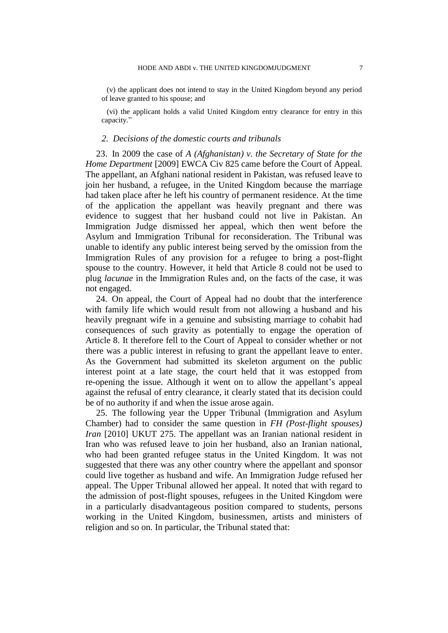(v) the applicant does not intend to stay in the United Kingdom beyond any period of leave granted to his spouse; and

(vi) the applicant holds a valid United Kingdom entry clearance for entry in this capacity."

#### *2. Decisions of the domestic courts and tribunals*

23. In 2009 the case of *A (Afghanistan) v. the Secretary of State for the Home Department* [2009] EWCA Civ 825 came before the Court of Appeal. The appellant, an Afghani national resident in Pakistan, was refused leave to join her husband, a refugee, in the United Kingdom because the marriage had taken place after he left his country of permanent residence. At the time of the application the appellant was heavily pregnant and there was evidence to suggest that her husband could not live in Pakistan. An Immigration Judge dismissed her appeal, which then went before the Asylum and Immigration Tribunal for reconsideration. The Tribunal was unable to identify any public interest being served by the omission from the Immigration Rules of any provision for a refugee to bring a post-flight spouse to the country. However, it held that Article 8 could not be used to plug *lacunae* in the Immigration Rules and, on the facts of the case, it was not engaged.

24. On appeal, the Court of Appeal had no doubt that the interference with family life which would result from not allowing a husband and his heavily pregnant wife in a genuine and subsisting marriage to cohabit had consequences of such gravity as potentially to engage the operation of Article 8. It therefore fell to the Court of Appeal to consider whether or not there was a public interest in refusing to grant the appellant leave to enter. As the Government had submitted its skeleton argument on the public interest point at a late stage, the court held that it was estopped from re-opening the issue. Although it went on to allow the appellant's appeal against the refusal of entry clearance, it clearly stated that its decision could be of no authority if and when the issue arose again.

25. The following year the Upper Tribunal (Immigration and Asylum Chamber) had to consider the same question in *FH (Post-flight spouses) Iran* [2010] UKUT 275. The appellant was an Iranian national resident in Iran who was refused leave to join her husband, also an Iranian national, who had been granted refugee status in the United Kingdom. It was not suggested that there was any other country where the appellant and sponsor could live together as husband and wife. An Immigration Judge refused her appeal. The Upper Tribunal allowed her appeal. It noted that with regard to the admission of post-flight spouses, refugees in the United Kingdom were in a particularly disadvantageous position compared to students, persons working in the United Kingdom, businessmen, artists and ministers of religion and so on. In particular, the Tribunal stated that: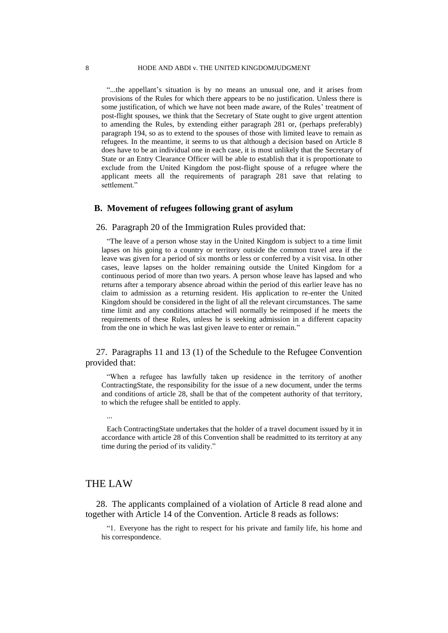"...the appellant's situation is by no means an unusual one, and it arises from provisions of the Rules for which there appears to be no justification. Unless there is some justification, of which we have not been made aware, of the Rules' treatment of post-flight spouses, we think that the Secretary of State ought to give urgent attention to amending the Rules, by extending either paragraph 281 or, (perhaps preferably) paragraph 194, so as to extend to the spouses of those with limited leave to remain as refugees. In the meantime, it seems to us that although a decision based on Article 8 does have to be an individual one in each case, it is most unlikely that the Secretary of State or an Entry Clearance Officer will be able to establish that it is proportionate to exclude from the United Kingdom the post-flight spouse of a refugee where the applicant meets all the requirements of paragraph 281 save that relating to settlement."

## **B. Movement of refugees following grant of asylum**

26. Paragraph 20 of the Immigration Rules provided that:

"The leave of a person whose stay in the United Kingdom is subject to a time limit lapses on his going to a country or territory outside the common travel area if the leave was given for a period of six months or less or conferred by a visit visa. In other cases, leave lapses on the holder remaining outside the United Kingdom for a continuous period of more than two years. A person whose leave has lapsed and who returns after a temporary absence abroad within the period of this earlier leave has no claim to admission as a returning resident. His application to re-enter the United Kingdom should be considered in the light of all the relevant circumstances. The same time limit and any conditions attached will normally be reimposed if he meets the requirements of these Rules, unless he is seeking admission in a different capacity from the one in which he was last given leave to enter or remain."

27. Paragraphs 11 and 13 (1) of the Schedule to the Refugee Convention provided that:

"When a refugee has lawfully taken up residence in the territory of another ContractingState, the responsibility for the issue of a new document, under the terms and conditions of article 28, shall be that of the competent authority of that territory, to which the refugee shall be entitled to apply.

...

Each ContractingState undertakes that the holder of a travel document issued by it in accordance with article 28 of this Convention shall be readmitted to its territory at any time during the period of its validity."

## THE LAW

28. The applicants complained of a violation of Article 8 read alone and together with Article 14 of the Convention. Article 8 reads as follows:

"1. Everyone has the right to respect for his private and family life, his home and his correspondence.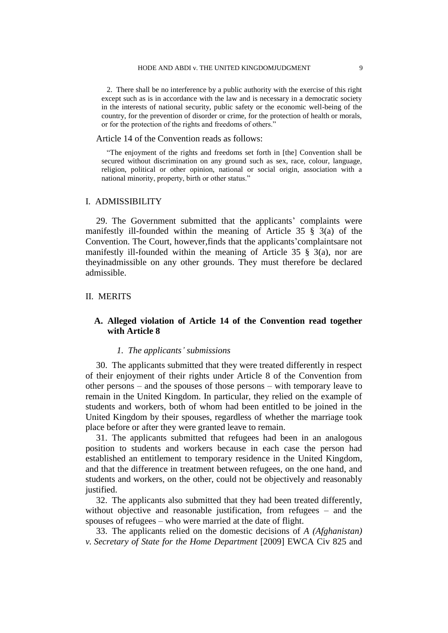2. There shall be no interference by a public authority with the exercise of this right except such as is in accordance with the law and is necessary in a democratic society in the interests of national security, public safety or the economic well-being of the country, for the prevention of disorder or crime, for the protection of health or morals, or for the protection of the rights and freedoms of others."

Article 14 of the Convention reads as follows:

"The enjoyment of the rights and freedoms set forth in [the] Convention shall be secured without discrimination on any ground such as sex, race, colour, language, religion, political or other opinion, national or social origin, association with a national minority, property, birth or other status."

#### I. ADMISSIBILITY

29. The Government submitted that the applicants' complaints were manifestly ill-founded within the meaning of Article 35 § 3(a) of the Convention. The Court, however,finds that the applicants'complaintsare not manifestly ill-founded within the meaning of Article 35 § 3(a), nor are theyinadmissible on any other grounds. They must therefore be declared admissible.

#### II. MERITS

## **A. Alleged violation of Article 14 of the Convention read together with Article 8**

## *1. The applicants' submissions*

30. The applicants submitted that they were treated differently in respect of their enjoyment of their rights under Article 8 of the Convention from other persons – and the spouses of those persons – with temporary leave to remain in the United Kingdom. In particular, they relied on the example of students and workers, both of whom had been entitled to be joined in the United Kingdom by their spouses, regardless of whether the marriage took place before or after they were granted leave to remain.

31. The applicants submitted that refugees had been in an analogous position to students and workers because in each case the person had established an entitlement to temporary residence in the United Kingdom, and that the difference in treatment between refugees, on the one hand, and students and workers, on the other, could not be objectively and reasonably justified.

32. The applicants also submitted that they had been treated differently, without objective and reasonable justification, from refugees – and the spouses of refugees – who were married at the date of flight.

33. The applicants relied on the domestic decisions of *A (Afghanistan) v. Secretary of State for the Home Department* [2009] EWCA Civ 825 and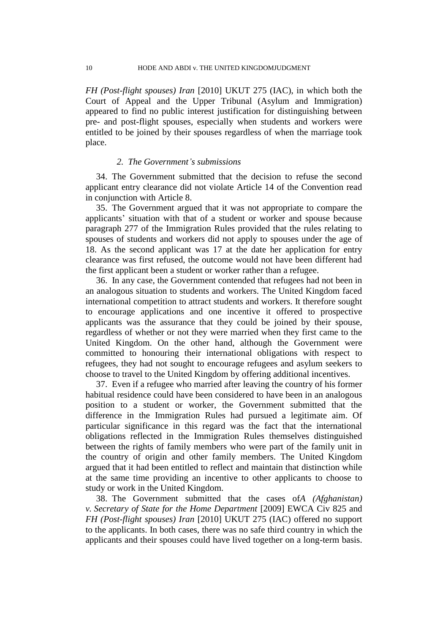*FH (Post-flight spouses) Iran* [2010] UKUT 275 (IAC), in which both the Court of Appeal and the Upper Tribunal (Asylum and Immigration) appeared to find no public interest justification for distinguishing between pre- and post-flight spouses, especially when students and workers were entitled to be joined by their spouses regardless of when the marriage took place.

## *2. The Government's submissions*

34. The Government submitted that the decision to refuse the second applicant entry clearance did not violate Article 14 of the Convention read in conjunction with Article 8.

35. The Government argued that it was not appropriate to compare the applicants' situation with that of a student or worker and spouse because paragraph 277 of the Immigration Rules provided that the rules relating to spouses of students and workers did not apply to spouses under the age of 18. As the second applicant was 17 at the date her application for entry clearance was first refused, the outcome would not have been different had the first applicant been a student or worker rather than a refugee.

36. In any case, the Government contended that refugees had not been in an analogous situation to students and workers. The United Kingdom faced international competition to attract students and workers. It therefore sought to encourage applications and one incentive it offered to prospective applicants was the assurance that they could be joined by their spouse, regardless of whether or not they were married when they first came to the United Kingdom. On the other hand, although the Government were committed to honouring their international obligations with respect to refugees, they had not sought to encourage refugees and asylum seekers to choose to travel to the United Kingdom by offering additional incentives.

37. Even if a refugee who married after leaving the country of his former habitual residence could have been considered to have been in an analogous position to a student or worker, the Government submitted that the difference in the Immigration Rules had pursued a legitimate aim. Of particular significance in this regard was the fact that the international obligations reflected in the Immigration Rules themselves distinguished between the rights of family members who were part of the family unit in the country of origin and other family members. The United Kingdom argued that it had been entitled to reflect and maintain that distinction while at the same time providing an incentive to other applicants to choose to study or work in the United Kingdom.

38. The Government submitted that the cases of*A (Afghanistan) v. Secretary of State for the Home Department* [2009] EWCA Civ 825 and *FH (Post-flight spouses) Iran* [2010] UKUT 275 (IAC) offered no support to the applicants. In both cases, there was no safe third country in which the applicants and their spouses could have lived together on a long-term basis.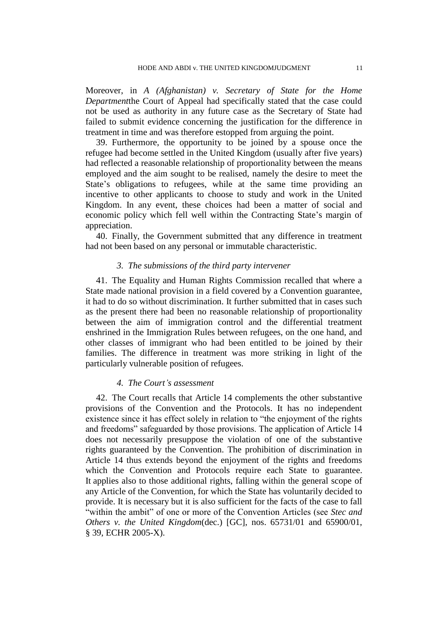Moreover, in *A (Afghanistan) v. Secretary of State for the Home Department*the Court of Appeal had specifically stated that the case could not be used as authority in any future case as the Secretary of State had failed to submit evidence concerning the justification for the difference in treatment in time and was therefore estopped from arguing the point.

39. Furthermore, the opportunity to be joined by a spouse once the refugee had become settled in the United Kingdom (usually after five years) had reflected a reasonable relationship of proportionality between the means employed and the aim sought to be realised, namely the desire to meet the State's obligations to refugees, while at the same time providing an incentive to other applicants to choose to study and work in the United Kingdom. In any event, these choices had been a matter of social and economic policy which fell well within the Contracting State's margin of appreciation.

40. Finally, the Government submitted that any difference in treatment had not been based on any personal or immutable characteristic.

#### *3. The submissions of the third party intervener*

41. The Equality and Human Rights Commission recalled that where a State made national provision in a field covered by a Convention guarantee, it had to do so without discrimination. It further submitted that in cases such as the present there had been no reasonable relationship of proportionality between the aim of immigration control and the differential treatment enshrined in the Immigration Rules between refugees, on the one hand, and other classes of immigrant who had been entitled to be joined by their families. The difference in treatment was more striking in light of the particularly vulnerable position of refugees.

## *4. The Court's assessment*

42. The Court recalls that Article 14 complements the other substantive provisions of the Convention and the Protocols. It has no independent existence since it has effect solely in relation to "the enjoyment of the rights and freedoms" safeguarded by those provisions. The application of Article 14 does not necessarily presuppose the violation of one of the substantive rights guaranteed by the Convention. The prohibition of discrimination in Article 14 thus extends beyond the enjoyment of the rights and freedoms which the Convention and Protocols require each State to guarantee. It applies also to those additional rights, falling within the general scope of any Article of the Convention, for which the State has voluntarily decided to provide. It is necessary but it is also sufficient for the facts of the case to fall "within the ambit" of one or more of the Convention Articles (see *Stec and Others v. the United Kingdom*(dec.) [GC], nos. 65731/01 and 65900/01, § 39, ECHR 2005-X).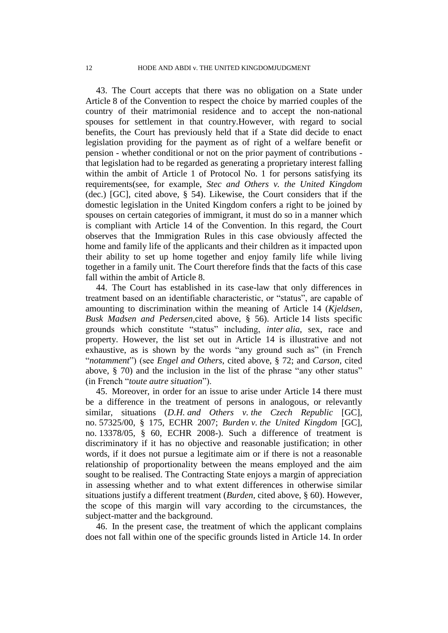43. The Court accepts that there was no obligation on a State under Article 8 of the Convention to respect the choice by married couples of the country of their matrimonial residence and to accept the non-national spouses for settlement in that country.However, with regard to social benefits, the Court has previously held that if a State did decide to enact legislation providing for the payment as of right of a welfare benefit or pension - whether conditional or not on the prior payment of contributions that legislation had to be regarded as generating a proprietary interest falling within the ambit of Article 1 of Protocol No. 1 for persons satisfying its requirements(see, for example, *Stec and Others v. the United Kingdom* (dec.) [GC], cited above, § 54). Likewise, the Court considers that if the domestic legislation in the United Kingdom confers a right to be joined by spouses on certain categories of immigrant, it must do so in a manner which is compliant with Article 14 of the Convention. In this regard, the Court observes that the Immigration Rules in this case obviously affected the home and family life of the applicants and their children as it impacted upon their ability to set up home together and enjoy family life while living together in a family unit. The Court therefore finds that the facts of this case fall within the ambit of Article 8.

44. The Court has established in its case-law that only differences in treatment based on an identifiable characteristic, or "status", are capable of amounting to discrimination within the meaning of Article 14 (*Kjeldsen*, *Busk Madsen and Pedersen*,cited above, § 56). Article 14 lists specific grounds which constitute "status" including, *inter alia*, sex, race and property. However, the list set out in Article 14 is illustrative and not exhaustive, as is shown by the words "any ground such as" (in French "*notamment*") (see *Engel and Others*, cited above, § 72; and *Carson*, cited above, § 70) and the inclusion in the list of the phrase "any other status" (in French "*toute autre situation*").

45. Moreover, in order for an issue to arise under Article 14 there must be a difference in the treatment of persons in analogous, or relevantly similar, situations (*D.H. and Others v. the Czech Republic* [GC], no. 57325/00, § 175, ECHR 2007; *Burden v. the United Kingdom* [GC], no. 13378/05, § 60, ECHR 2008-). Such a difference of treatment is discriminatory if it has no objective and reasonable justification; in other words, if it does not pursue a legitimate aim or if there is not a reasonable relationship of proportionality between the means employed and the aim sought to be realised. The Contracting State enjoys a margin of appreciation in assessing whether and to what extent differences in otherwise similar situations justify a different treatment (*Burden,* cited above, § 60). However, the scope of this margin will vary according to the circumstances, the subject-matter and the background.

46. In the present case, the treatment of which the applicant complains does not fall within one of the specific grounds listed in Article 14. In order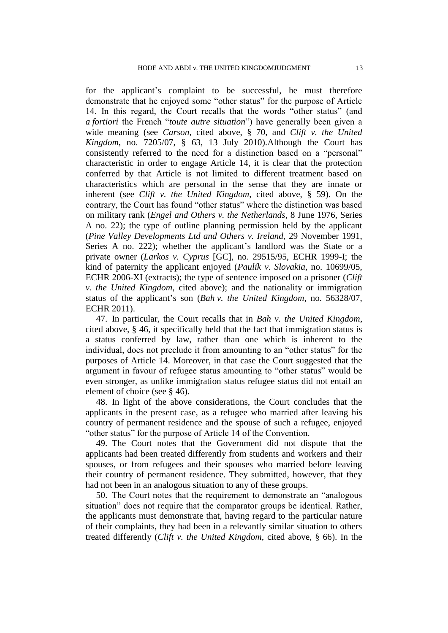for the applicant's complaint to be successful, he must therefore demonstrate that he enjoyed some "other status" for the purpose of Article 14. In this regard, the Court recalls that the words "other status" (and *a fortiori* the French "*toute autre situation*") have generally been given a wide meaning (see *Carson*, cited above, § 70, and *Clift v. the United Kingdom*, no. 7205/07, § 63, 13 July 2010).Although the Court has consistently referred to the need for a distinction based on a "personal" characteristic in order to engage Article 14, it is clear that the protection conferred by that Article is not limited to different treatment based on characteristics which are personal in the sense that they are innate or inherent (see *Clift v. the United Kingdom*, cited above, § 59). On the contrary, the Court has found "other status" where the distinction was based on military rank (*Engel and Others v. the Netherlands*, 8 June 1976, Series A no. 22); the type of outline planning permission held by the applicant (*Pine Valley Developments Ltd and Others v. Ireland*, 29 November 1991, Series A no. 222); whether the applicant's landlord was the State or a private owner (*Larkos v. Cyprus* [GC], no. 29515/95, ECHR 1999-I; the kind of paternity the applicant enjoyed (*Paulík v. Slovakia*, no. 10699/05, ECHR 2006-XI (extracts); the type of sentence imposed on a prisoner (*Clift v. the United Kingdom*, cited above); and the nationality or immigration status of the applicant's son (*Bah v. the United Kingdom*, no. 56328/07, ECHR 2011).

47. In particular, the Court recalls that in *Bah v. the United Kingdom*, cited above, § 46, it specifically held that the fact that immigration status is a status conferred by law, rather than one which is inherent to the individual, does not preclude it from amounting to an "other status" for the purposes of Article 14. Moreover, in that case the Court suggested that the argument in favour of refugee status amounting to "other status" would be even stronger, as unlike immigration status refugee status did not entail an element of choice (see § 46).

48. In light of the above considerations, the Court concludes that the applicants in the present case, as a refugee who married after leaving his country of permanent residence and the spouse of such a refugee, enjoyed "other status" for the purpose of Article 14 of the Convention.

49. The Court notes that the Government did not dispute that the applicants had been treated differently from students and workers and their spouses, or from refugees and their spouses who married before leaving their country of permanent residence. They submitted, however, that they had not been in an analogous situation to any of these groups.

50. The Court notes that the requirement to demonstrate an "analogous situation" does not require that the comparator groups be identical. Rather, the applicants must demonstrate that, having regard to the particular nature of their complaints, they had been in a relevantly similar situation to others treated differently (*Clift v. the United Kingdom*, cited above, § 66). In the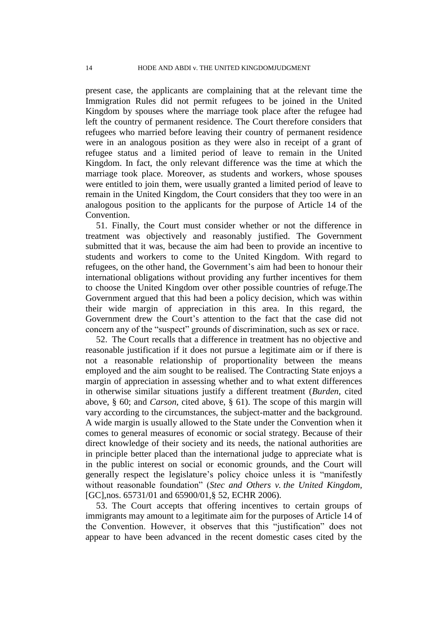present case, the applicants are complaining that at the relevant time the Immigration Rules did not permit refugees to be joined in the United Kingdom by spouses where the marriage took place after the refugee had left the country of permanent residence. The Court therefore considers that refugees who married before leaving their country of permanent residence were in an analogous position as they were also in receipt of a grant of refugee status and a limited period of leave to remain in the United Kingdom. In fact, the only relevant difference was the time at which the marriage took place. Moreover, as students and workers, whose spouses were entitled to join them, were usually granted a limited period of leave to remain in the United Kingdom, the Court considers that they too were in an analogous position to the applicants for the purpose of Article 14 of the Convention.

51. Finally, the Court must consider whether or not the difference in treatment was objectively and reasonably justified. The Government submitted that it was, because the aim had been to provide an incentive to students and workers to come to the United Kingdom. With regard to refugees, on the other hand, the Government's aim had been to honour their international obligations without providing any further incentives for them to choose the United Kingdom over other possible countries of refuge.The Government argued that this had been a policy decision, which was within their wide margin of appreciation in this area. In this regard, the Government drew the Court's attention to the fact that the case did not concern any of the "suspect" grounds of discrimination, such as sex or race.

52. The Court recalls that a difference in treatment has no objective and reasonable justification if it does not pursue a legitimate aim or if there is not a reasonable relationship of proportionality between the means employed and the aim sought to be realised. The Contracting State enjoys a margin of appreciation in assessing whether and to what extent differences in otherwise similar situations justify a different treatment (*Burden*, cited above, § 60; and *Carson*, cited above, § 61). The scope of this margin will vary according to the circumstances, the subject-matter and the background. A wide margin is usually allowed to the State under the Convention when it comes to general measures of economic or social strategy. Because of their direct knowledge of their society and its needs, the national authorities are in principle better placed than the international judge to appreciate what is in the public interest on social or economic grounds, and the Court will generally respect the legislature's policy choice unless it is "manifestly without reasonable foundation" (*Stec and Others v. the United Kingdom,* [GC], nos. 65731/01 and 65900/01, § 52, ECHR 2006).

53. The Court accepts that offering incentives to certain groups of immigrants may amount to a legitimate aim for the purposes of Article 14 of the Convention. However, it observes that this "justification" does not appear to have been advanced in the recent domestic cases cited by the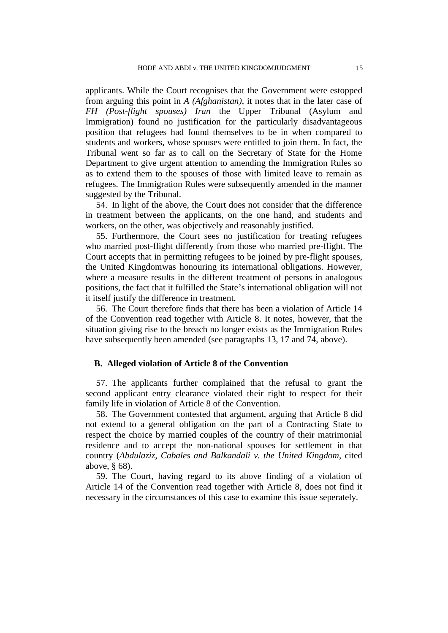applicants. While the Court recognises that the Government were estopped from arguing this point in *A (Afghanistan)*, it notes that in the later case of *FH (Post-flight spouses) Iran* the Upper Tribunal (Asylum and Immigration) found no justification for the particularly disadvantageous position that refugees had found themselves to be in when compared to students and workers, whose spouses were entitled to join them. In fact, the Tribunal went so far as to call on the Secretary of State for the Home Department to give urgent attention to amending the Immigration Rules so as to extend them to the spouses of those with limited leave to remain as refugees. The Immigration Rules were subsequently amended in the manner suggested by the Tribunal.

54. In light of the above, the Court does not consider that the difference in treatment between the applicants, on the one hand, and students and workers, on the other, was objectively and reasonably justified.

55. Furthermore, the Court sees no justification for treating refugees who married post-flight differently from those who married pre-flight. The Court accepts that in permitting refugees to be joined by pre-flight spouses, the United Kingdomwas honouring its international obligations. However, where a measure results in the different treatment of persons in analogous positions, the fact that it fulfilled the State's international obligation will not it itself justify the difference in treatment.

56. The Court therefore finds that there has been a violation of Article 14 of the Convention read together with Article 8. It notes, however, that the situation giving rise to the breach no longer exists as the Immigration Rules have subsequently been amended (see paragraphs 13, 17 and 74, above).

### **B. Alleged violation of Article 8 of the Convention**

57. The applicants further complained that the refusal to grant the second applicant entry clearance violated their right to respect for their family life in violation of Article 8 of the Convention.

58. The Government contested that argument, arguing that Article 8 did not extend to a general obligation on the part of a Contracting State to respect the choice by married couples of the country of their matrimonial residence and to accept the non-national spouses for settlement in that country (*Abdulaziz, Cabales and Balkandali v. the United Kingdom*, cited above, § 68).

59. The Court, having regard to its above finding of a violation of Article 14 of the Convention read together with Article 8, does not find it necessary in the circumstances of this case to examine this issue seperately.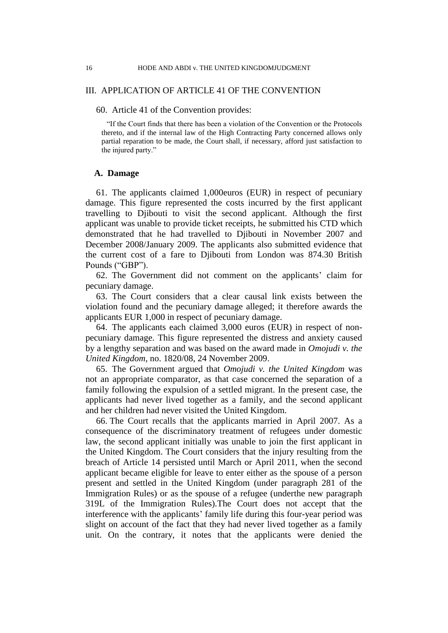## III. APPLICATION OF ARTICLE 41 OF THE CONVENTION

#### 60. Article 41 of the Convention provides:

"If the Court finds that there has been a violation of the Convention or the Protocols thereto, and if the internal law of the High Contracting Party concerned allows only partial reparation to be made, the Court shall, if necessary, afford just satisfaction to the injured party."

### **A. Damage**

61. The applicants claimed 1,000euros (EUR) in respect of pecuniary damage. This figure represented the costs incurred by the first applicant travelling to Djibouti to visit the second applicant. Although the first applicant was unable to provide ticket receipts, he submitted his CTD which demonstrated that he had travelled to Djibouti in November 2007 and December 2008/January 2009. The applicants also submitted evidence that the current cost of a fare to Djibouti from London was 874.30 British Pounds ("GBP").

62. The Government did not comment on the applicants' claim for pecuniary damage.

63. The Court considers that a clear causal link exists between the violation found and the pecuniary damage alleged; it therefore awards the applicants EUR 1,000 in respect of pecuniary damage.

64. The applicants each claimed 3,000 euros (EUR) in respect of nonpecuniary damage. This figure represented the distress and anxiety caused by a lengthy separation and was based on the award made in *Omojudi v. the United Kingdom*, no. 1820/08, 24 November 2009.

65. The Government argued that *Omojudi v. the United Kingdom* was not an appropriate comparator, as that case concerned the separation of a family following the expulsion of a settled migrant. In the present case, the applicants had never lived together as a family, and the second applicant and her children had never visited the United Kingdom.

66. The Court recalls that the applicants married in April 2007. As a consequence of the discriminatory treatment of refugees under domestic law, the second applicant initially was unable to join the first applicant in the United Kingdom. The Court considers that the injury resulting from the breach of Article 14 persisted until March or April 2011, when the second applicant became eligible for leave to enter either as the spouse of a person present and settled in the United Kingdom (under paragraph 281 of the Immigration Rules) or as the spouse of a refugee (underthe new paragraph 319L of the Immigration Rules).The Court does not accept that the interference with the applicants' family life during this four-year period was slight on account of the fact that they had never lived together as a family unit. On the contrary, it notes that the applicants were denied the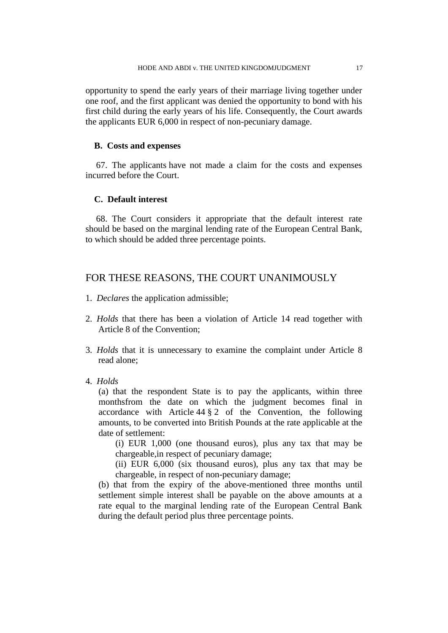opportunity to spend the early years of their marriage living together under one roof, and the first applicant was denied the opportunity to bond with his first child during the early years of his life. Consequently, the Court awards the applicants EUR 6,000 in respect of non-pecuniary damage.

## **B. Costs and expenses**

67. The applicants have not made a claim for the costs and expenses incurred before the Court.

## **C. Default interest**

68. The Court considers it appropriate that the default interest rate should be based on the marginal lending rate of the European Central Bank, to which should be added three percentage points.

## FOR THESE REASONS, THE COURT UNANIMOUSLY

- 1. *Declares* the application admissible;
- 2. *Holds* that there has been a violation of Article 14 read together with Article 8 of the Convention;
- 3. *Holds* that it is unnecessary to examine the complaint under Article 8 read alone;
- 4. *Holds*

(a) that the respondent State is to pay the applicants, within three monthsfrom the date on which the judgment becomes final in accordance with Article  $44 \frac{8}{9}$  2 of the Convention, the following amounts, to be converted into British Pounds at the rate applicable at the date of settlement:

(i) EUR 1,000 (one thousand euros), plus any tax that may be chargeable,in respect of pecuniary damage;

(ii) EUR 6,000 (six thousand euros), plus any tax that may be chargeable, in respect of non-pecuniary damage;

(b) that from the expiry of the above-mentioned three months until settlement simple interest shall be payable on the above amounts at a rate equal to the marginal lending rate of the European Central Bank during the default period plus three percentage points.